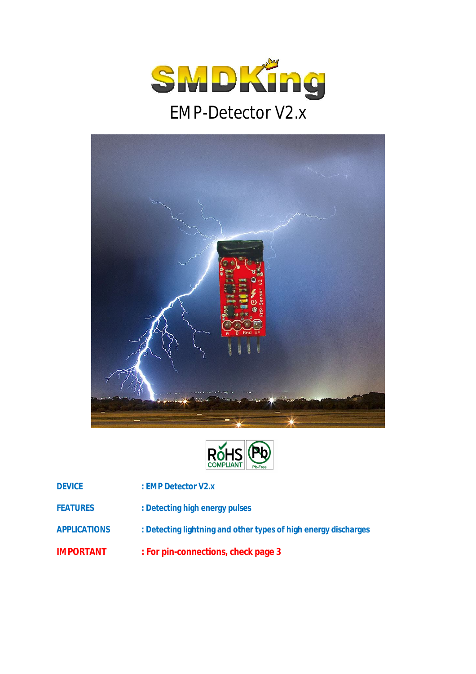





**DEVICE : EMP Detector V2.x**

- **FEATURES : Detecting high energy pulses**
- **APPLICATIONS : Detecting lightning and other types of high energy discharges**
- **IMPORTANT : For pin-connections, check page 3**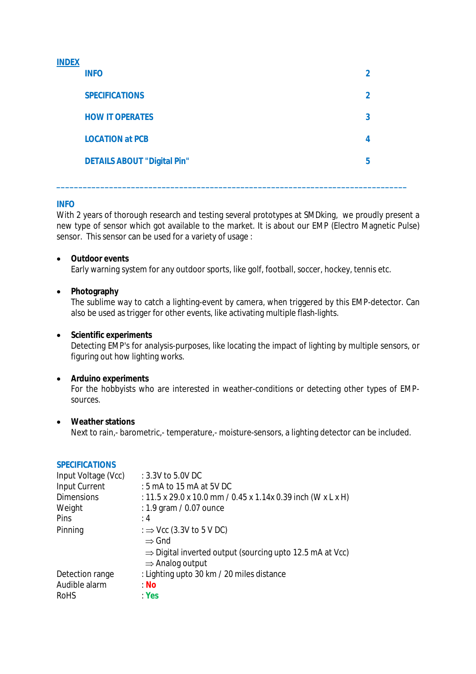# **INDEX**

| <b>INFO</b>                        |             |
|------------------------------------|-------------|
| <b>SPECIFICATIONS</b>              | $\mathbf 2$ |
| <b>HOW IT OPERATES</b>             | 3           |
| <b>LOCATION at PCB</b>             | 4           |
| <b>DETAILS ABOUT "Digital Pin"</b> | 5           |
|                                    |             |

**\_\_\_\_\_\_\_\_\_\_\_\_\_\_\_\_\_\_\_\_\_\_\_\_\_\_\_\_\_\_\_\_\_\_\_\_\_\_\_\_\_\_\_\_\_\_\_\_\_\_\_\_\_\_\_\_\_\_\_\_\_\_\_\_\_\_\_\_\_\_\_\_\_\_\_\_\_\_\_\_**

## **INFO**

With 2 years of thorough research and testing several prototypes at SMDking, we proudly present a new type of sensor which got available to the market. It is about our EMP (Electro Magnetic Pulse) sensor. This sensor can be used for a variety of usage :

## **Outdoor events**

Early warning system for any outdoor sports, like golf, football, soccer, hockey, tennis etc.

## **Photography**

The sublime way to catch a lighting-event by camera, when triggered by this EMP-detector. Can also be used as trigger for other events, like activating multiple flash-lights.

## **Scientific experiments**

Detecting EMP's for analysis-purposes, like locating the impact of lighting by multiple sensors, or figuring out how lighting works.

## **Arduino experiments**

For the hobbyists who are interested in weather-conditions or detecting other types of EMPsources.

## **Weather stations**

**SPECIFICATIONS** 

Next to rain,- barometric,- temperature,- moisture-sensors, a lighting detector can be included.

| JI LVII IVATIVIVJ   |                                                                      |
|---------------------|----------------------------------------------------------------------|
| Input Voltage (Vcc) | : 3.3V to 5.0V DC                                                    |
| Input Current       | : 5 mA to 15 mA at 5V DC                                             |
| <b>Dimensions</b>   | : 11.5 x 29.0 x 10.0 mm / 0.45 x 1.14x 0.39 inch (W x L x H)         |
| Weight              | : 1.9 gram / 0.07 ounce                                              |
| Pins                | :4                                                                   |
| Pinning             | : $\Rightarrow$ Vcc (3.3V to 5 V DC)                                 |
|                     | $\Rightarrow$ Gnd                                                    |
|                     | $\Rightarrow$ Digital inverted output (sourcing upto 12.5 mA at Vcc) |
|                     | $\Rightarrow$ Analog output                                          |
| Detection range     | : Lighting upto 30 km / 20 miles distance                            |
| Audible alarm       | : No                                                                 |
| <b>RoHS</b>         | Yes                                                                  |
|                     |                                                                      |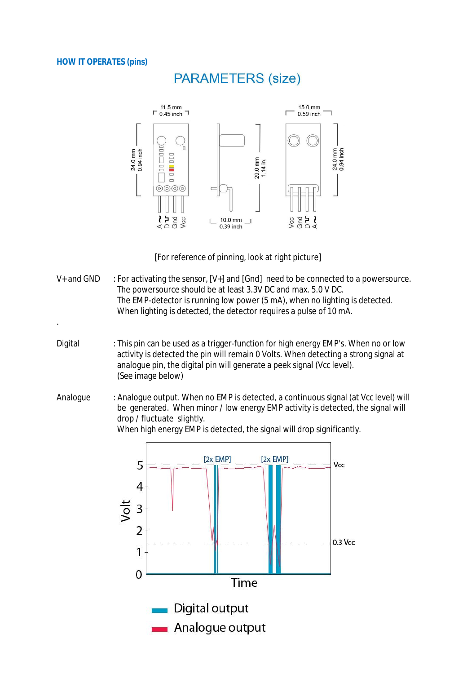## **HOW IT OPERATES (pins)**

.

# **PARAMETERS (size)**



[For reference of pinning, look at right picture]

- $V_+$  and GND : For activating the sensor,  $[V_+]$  and  $[Gnd]$  need to be connected to a powersource. The powersource should be at least 3.3V DC and max. 5.0 V DC. The EMP-detector is running low power (5 mA), when no lighting is detected. When lighting is detected, the detector requires a pulse of 10 mA.
- Digital : This pin can be used as a trigger-function for high energy EMP's. When no or low activity is detected the pin will remain 0 Volts. When detecting a strong signal at analogue pin, the digital pin will generate a peek signal (Vcc level). (See image below)
- Analogue : Analogue output. When no EMP is detected, a continuous signal (at Vcc level) will be generated. When minor / low energy EMP activity is detected, the signal will drop / fluctuate slightly.

When high energy EMP is detected, the signal will drop significantly.

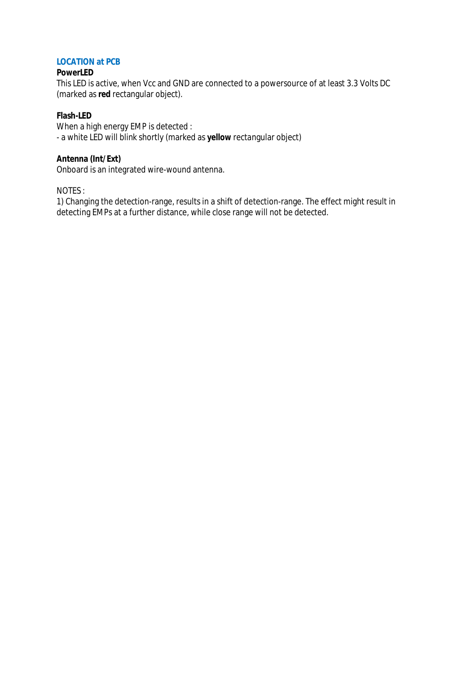# **LOCATION at PCB**

## **PowerLED**

This LED is active, when Vcc and GND are connected to a powersource of at least 3.3 Volts DC (marked as **red** rectangular object).

# **Flash-LED**

When a high energy EMP is detected : - a white LED will blink shortly (marked as **yellow** rectangular object)

# **Antenna (Int/Ext)**

Onboard is an integrated wire-wound antenna.

NOTES :

1) Changing the detection-range, results in a shift of detection-range. The effect might result in detecting EMPs at a further distance, while close range will not be detected.